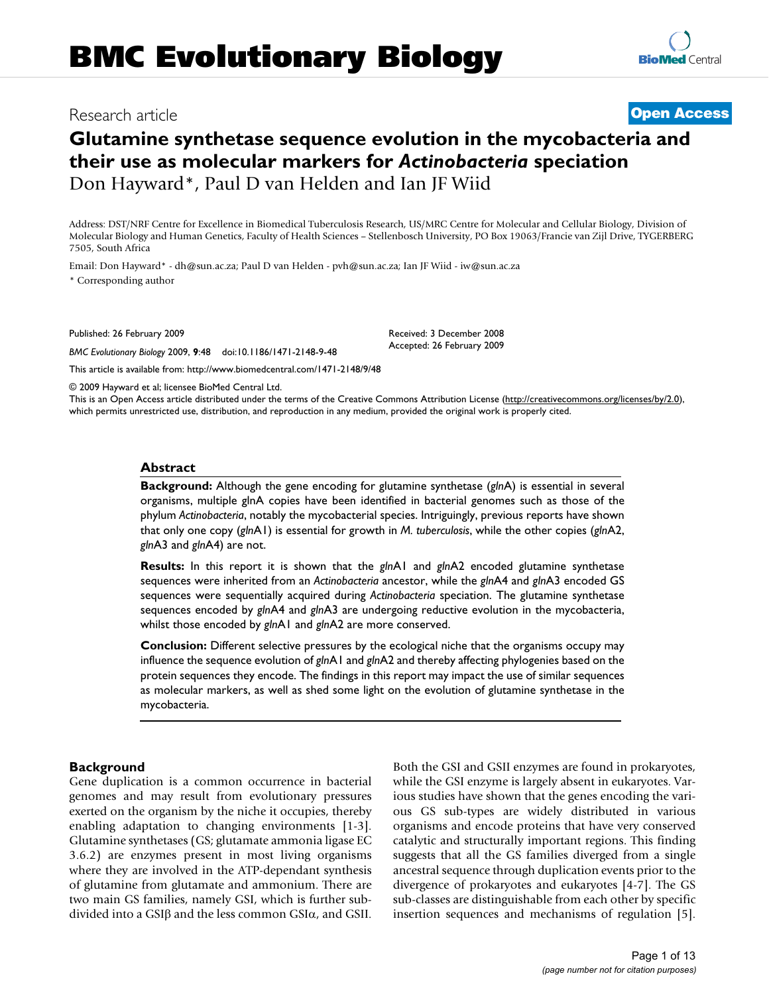## Research article **[Open Access](http://www.biomedcentral.com/info/about/charter/)**

# **Glutamine synthetase sequence evolution in the mycobacteria and their use as molecular markers for** *Actinobacteria* **speciation** Don Hayward\*, Paul D van Helden and Ian JF Wiid

Address: DST/NRF Centre for Excellence in Biomedical Tuberculosis Research, US/MRC Centre for Molecular and Cellular Biology, Division of Molecular Biology and Human Genetics, Faculty of Health Sciences – Stellenbosch University, PO Box 19063/Francie van Zijl Drive, TYGERBERG 7505, South Africa

Email: Don Hayward\* - dh@sun.ac.za; Paul D van Helden - pvh@sun.ac.za; Ian JF Wiid - iw@sun.ac.za \* Corresponding author

Published: 26 February 2009

*BMC Evolutionary Biology* 2009, **9**:48 doi:10.1186/1471-2148-9-48

[This article is available from: http://www.biomedcentral.com/1471-2148/9/48](http://www.biomedcentral.com/1471-2148/9/48)

© 2009 Hayward et al; licensee BioMed Central Ltd.

This is an Open Access article distributed under the terms of the Creative Commons Attribution License [\(http://creativecommons.org/licenses/by/2.0\)](http://creativecommons.org/licenses/by/2.0), which permits unrestricted use, distribution, and reproduction in any medium, provided the original work is properly cited.

Received: 3 December 2008 Accepted: 26 February 2009

#### **Abstract**

**Background:** Although the gene encoding for glutamine synthetase (*gln*A) is essential in several organisms, multiple glnA copies have been identified in bacterial genomes such as those of the phylum *Actinobacteria*, notably the mycobacterial species. Intriguingly, previous reports have shown that only one copy (*gln*A1) is essential for growth in *M. tuberculosis*, while the other copies (*gln*A2, *gln*A3 and *gln*A4) are not.

**Results:** In this report it is shown that the *gln*A1 and *gln*A2 encoded glutamine synthetase sequences were inherited from an *Actinobacteria* ancestor, while the *gln*A4 and *gln*A3 encoded GS sequences were sequentially acquired during *Actinobacteria* speciation. The glutamine synthetase sequences encoded by *gln*A4 and *gln*A3 are undergoing reductive evolution in the mycobacteria, whilst those encoded by *gln*A1 and *gln*A2 are more conserved.

**Conclusion:** Different selective pressures by the ecological niche that the organisms occupy may influence the sequence evolution of *gln*A1 and *gln*A2 and thereby affecting phylogenies based on the protein sequences they encode. The findings in this report may impact the use of similar sequences as molecular markers, as well as shed some light on the evolution of glutamine synthetase in the mycobacteria.

#### **Background**

Gene duplication is a common occurrence in bacterial genomes and may result from evolutionary pressures exerted on the organism by the niche it occupies, thereby enabling adaptation to changing environments [1-3]. Glutamine synthetases (GS; glutamate ammonia ligase EC 3.6.2) are enzymes present in most living organisms where they are involved in the ATP-dependant synthesis of glutamine from glutamate and ammonium. There are two main GS families, namely GSI, which is further subdivided into a GSIβ and the less common GSIα, and GSII. Both the GSI and GSII enzymes are found in prokaryotes, while the GSI enzyme is largely absent in eukaryotes. Various studies have shown that the genes encoding the various GS sub-types are widely distributed in various organisms and encode proteins that have very conserved catalytic and structurally important regions. This finding suggests that all the GS families diverged from a single ancestral sequence through duplication events prior to the divergence of prokaryotes and eukaryotes [4-7]. The GS sub-classes are distinguishable from each other by specific insertion sequences and mechanisms of regulation [5].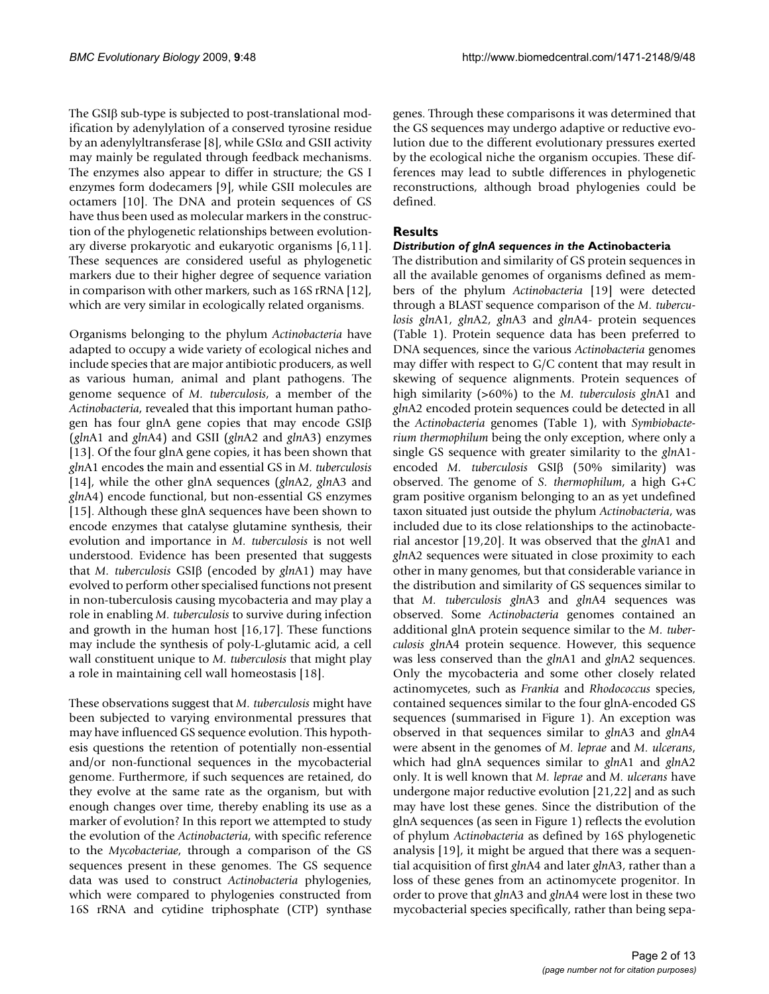The GSIβ sub-type is subjected to post-translational modification by adenylylation of a conserved tyrosine residue by an adenylyltransferase [8], while  $GSI\alpha$  and  $GSII$  activity may mainly be regulated through feedback mechanisms. The enzymes also appear to differ in structure; the GS I enzymes form dodecamers [9], while GSII molecules are octamers [10]. The DNA and protein sequences of GS have thus been used as molecular markers in the construction of the phylogenetic relationships between evolutionary diverse prokaryotic and eukaryotic organisms [6,11]. These sequences are considered useful as phylogenetic markers due to their higher degree of sequence variation in comparison with other markers, such as 16S rRNA [12], which are very similar in ecologically related organisms.

Organisms belonging to the phylum *Actinobacteria* have adapted to occupy a wide variety of ecological niches and include species that are major antibiotic producers, as well as various human, animal and plant pathogens. The genome sequence of *M. tuberculosis*, a member of the *Actinobacteria*, revealed that this important human pathogen has four glnA gene copies that may encode GSIβ (*gln*A1 and *gln*A4) and GSII (*gln*A2 and *gln*A3) enzymes [13]. Of the four glnA gene copies, it has been shown that *gln*A1 encodes the main and essential GS in *M. tuberculosis* [14], while the other glnA sequences (*gln*A2, *gln*A3 and *gln*A4) encode functional, but non-essential GS enzymes [15]. Although these glnA sequences have been shown to encode enzymes that catalyse glutamine synthesis, their evolution and importance in *M. tuberculosis* is not well understood. Evidence has been presented that suggests that *M. tuberculosis* GSIβ (encoded by *gln*A1) may have evolved to perform other specialised functions not present in non-tuberculosis causing mycobacteria and may play a role in enabling *M. tuberculosis* to survive during infection and growth in the human host [16,17]. These functions may include the synthesis of poly-L-glutamic acid, a cell wall constituent unique to *M. tuberculosis* that might play a role in maintaining cell wall homeostasis [18].

These observations suggest that *M. tuberculosis* might have been subjected to varying environmental pressures that may have influenced GS sequence evolution. This hypothesis questions the retention of potentially non-essential and/or non-functional sequences in the mycobacterial genome. Furthermore, if such sequences are retained, do they evolve at the same rate as the organism, but with enough changes over time, thereby enabling its use as a marker of evolution? In this report we attempted to study the evolution of the *Actinobacteria*, with specific reference to the *Mycobacteriae*, through a comparison of the GS sequences present in these genomes. The GS sequence data was used to construct *Actinobacteria* phylogenies, which were compared to phylogenies constructed from 16S rRNA and cytidine triphosphate (CTP) synthase

genes. Through these comparisons it was determined that the GS sequences may undergo adaptive or reductive evolution due to the different evolutionary pressures exerted by the ecological niche the organism occupies. These differences may lead to subtle differences in phylogenetic reconstructions, although broad phylogenies could be defined.

## **Results**

## *Distribution of glnA sequences in the* **Actinobacteria**

The distribution and similarity of GS protein sequences in all the available genomes of organisms defined as members of the phylum *Actinobacteria* [19] were detected through a BLAST sequence comparison of the *M. tuberculosis gln*A1, *gln*A2, *gln*A3 and *gln*A4- protein sequences (Table 1). Protein sequence data has been preferred to DNA sequences, since the various *Actinobacteria* genomes may differ with respect to G/C content that may result in skewing of sequence alignments. Protein sequences of high similarity (>60%) to the *M. tuberculosis gln*A1 and *gln*A2 encoded protein sequences could be detected in all the *Actinobacteria* genomes (Table 1), with *Symbiobacterium thermophilum* being the only exception, where only a single GS sequence with greater similarity to the *gln*A1 encoded *M. tuberculosis* GSIβ (50% similarity) was observed. The genome of *S. thermophilum*, a high G+C gram positive organism belonging to an as yet undefined taxon situated just outside the phylum *Actinobacteria*, was included due to its close relationships to the actinobacterial ancestor [19,20]. It was observed that the *gln*A1 and *gln*A2 sequences were situated in close proximity to each other in many genomes, but that considerable variance in the distribution and similarity of GS sequences similar to that *M. tuberculosis gln*A3 and *gln*A4 sequences was observed. Some *Actinobacteria* genomes contained an additional glnA protein sequence similar to the *M. tuberculosis gln*A4 protein sequence. However, this sequence was less conserved than the *gln*A1 and *gln*A2 sequences. Only the mycobacteria and some other closely related actinomycetes, such as *Frankia* and *Rhodococcus* species, contained sequences similar to the four glnA-encoded GS sequences (summarised in Figure 1). An exception was observed in that sequences similar to *gln*A3 and *gln*A4 were absent in the genomes of *M. leprae* and *M. ulcerans*, which had glnA sequences similar to *gln*A1 and *gln*A2 only. It is well known that *M. leprae* and *M. ulcerans* have undergone major reductive evolution [21,22] and as such may have lost these genes. Since the distribution of the glnA sequences (as seen in Figure 1) reflects the evolution of phylum *Actinobacteria* as defined by 16S phylogenetic analysis [19], it might be argued that there was a sequential acquisition of first *gln*A4 and later *gln*A3, rather than a loss of these genes from an actinomycete progenitor. In order to prove that *gln*A3 and *gln*A4 were lost in these two mycobacterial species specifically, rather than being sepa-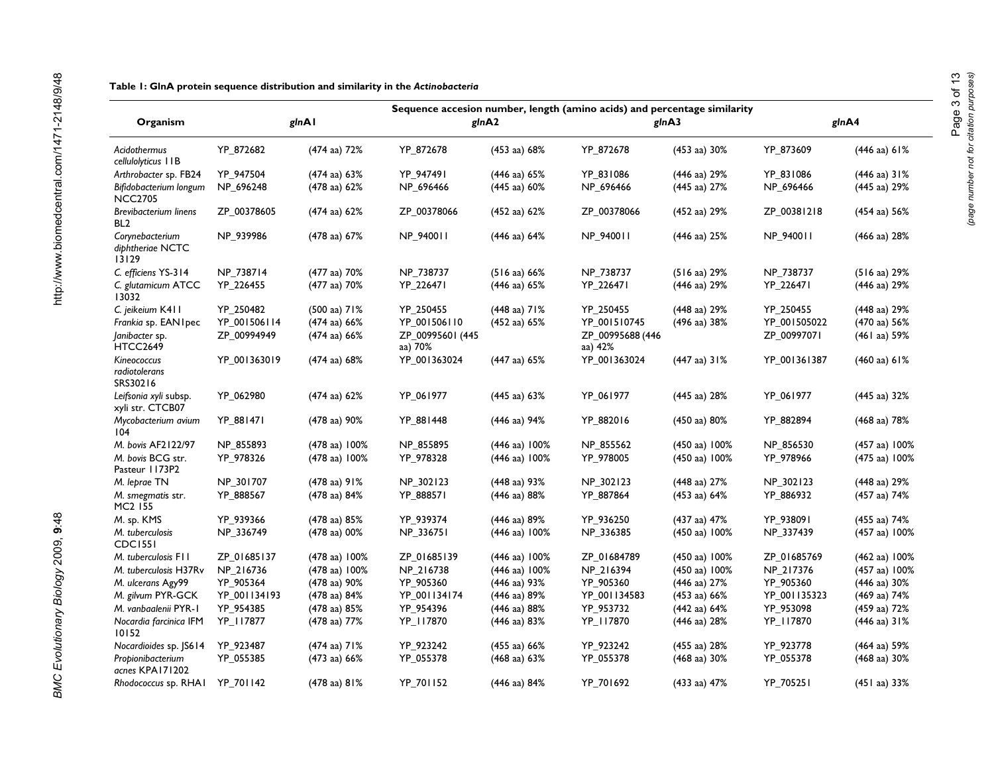|                                                 |              |                         | Sequence accesion number, length (amino acids) and percentage similarity |                          |                             |                         |              |                         |
|-------------------------------------------------|--------------|-------------------------|--------------------------------------------------------------------------|--------------------------|-----------------------------|-------------------------|--------------|-------------------------|
| Organism                                        | glnAl        |                         | glnA2                                                                    |                          | gInA3                       |                         | glnA4        |                         |
| Acidothermus<br>cellulolyticus   IB             | YP 872682    | (474 aa) 72%            | YP_872678                                                                | $(453 \text{ aa}) 68\%$  | YP 872678                   | $(453 \text{ aa}) 30\%$ | YP 873609    | (446 aa) 61%            |
| Arthrobacter sp. FB24                           | YP 947504    | (474 aa) 63%            | YP 947491                                                                | $(446 \text{ aa}) 65\%$  | YP 831086                   | (446 aa) 29%            | YP 831086    | (446 aa) 31%            |
| Bifidobacterium longum<br><b>NCC2705</b>        | NP_696248    | (478 aa) 62%            | NP_696466                                                                | $(445$ aa) $60\%$        | NP_696466                   | (445 aa) 27%            | NP_696466    | (445 aa) 29%            |
| <b>Brevibacterium linens</b><br>BL <sub>2</sub> | ZP_00378605  | $(474$ aa) 62%          | ZP_00378066                                                              | $(452 \text{ aa}) 62\%$  | ZP_00378066                 | (452 aa) 29%            | ZP_00381218  | (454 aa) 56%            |
| Corynebacterium<br>diphtheriae NCTC<br>13129    | NP_939986    | $(478 \text{ aa}) 67\%$ | NP_940011                                                                | $(446 \text{ aa}) 64\%$  | NP_940011                   | (446 aa) 25%            | NP_940011    | (466 aa) 28%            |
| C. efficiens YS-314                             | NP_738714    | (477 aa) 70%            | NP_738737                                                                | $(516$ aa) $66\%$        | NP_738737                   | $(516 \text{ aa}) 29\%$ | NP_738737    | (516 aa) 29%            |
| C. glutamicum ATCC<br>13032                     | YP_226455    | (477 aa) 70%            | YP_226471                                                                | $(446 \text{ aa}) 65\%$  | YP_226471                   | (446 aa) 29%            | YP_226471    | (446 aa) 29%            |
| C. jeikeium K411                                | YP 250482    | $(500 \text{ aa})$ 71%  | YP 250455                                                                | $(448 \text{ aa})$ 71%   | YP 250455                   | (448 aa) 29%            | YP 250455    | (448 aa) 29%            |
| Frankia sp. EAN I pec                           | YP_001506114 | $(474$ aa) 66%          | YP_001506110                                                             | $(452 \text{ aa}) 65\%$  | YP_001510745                | (496 aa) 38%            | YP_001505022 | (470 aa) 56%            |
| Janibacter sp.<br>HTCC2649                      | ZP_00994949  | (474 aa) 66%            | ZP_00995601 (445<br>aa) 70%                                              |                          | ZP_00995688 (446<br>aa) 42% |                         | ZP_00997071  | (461 aa) 59%            |
| Kineococcus<br>radiotolerans<br>SRS30216        | YP_001363019 | (474 aa) 68%            | YP_001363024                                                             | $(447 \text{ aa}) 65\%$  | YP_001363024                | $(447$ aa) $31%$        | YP_001361387 | $(460 \text{ aa}) 61\%$ |
| Leifsonia xyli subsp.<br>xyli str. CTCB07       | YP_062980    | $(474$ aa) $62%$        | YP_061977                                                                | $(445$ aa) $63%$         | YP_061977                   | (445 aa) 28%            | YP_061977    | (445 aa) 32%            |
| Mycobacterium avium<br>104                      | YP_881471    | (478 aa) 90%            | YP_881448                                                                | (446 aa) 94%             | YP 882016                   | (450 aa) 80%            | YP 882894    | (468 aa) 78%            |
| M. bovis AF2122/97                              | NP 855893    | (478 aa) 100%           | NP_855895                                                                | $(446 \text{ aa}) 100\%$ | NP 855562                   | (450 aa) 100%           | NP 856530    | (457 aa) 100%           |
| M. bovis BCG str.<br>Pasteur 1173P2             | YP_978326    | (478 aa) 100%           | YP_978328                                                                | $(446 \text{ aa}) 100\%$ | YP 978005                   | (450 aa) 100%           | YP_978966    | (475 aa) 100%           |
| M. leprae TN                                    | NP_301707    | $(478$ aa) $91%$        | NP_302123                                                                | $(448 \text{ aa}) 93\%$  | NP_302123                   | (448 aa) 27%            | NP_302123    | (448 aa) 29%            |
| M. smegmatis str.<br>MC <sub>2</sub> 155        | YP_888567    | (478 aa) 84%            | YP_888571                                                                | (446 aa) 88%             | YP_887864                   | (453 aa) 64%            | YP_886932    | (457 aa) 74%            |
| M. sp. KMS                                      | YP_939366    | (478 aa) 85%            | YP_939374                                                                | $(446 \text{ aa}) 89\%$  | YP_936250                   | (437 aa) 47%            | YP_938091    | (455 aa) 74%            |
| M. tuberculosis<br><b>CDC1551</b>               | NP_336749    | (478 aa) 00%            | NP_336751                                                                | (446 aa) 100%            | NP_336385                   | (450 aa) 100%           | NP_337439    | (457 aa) 100%           |
| M. tuberculosis F11                             | ZP_01685137  | (478 aa) 100%           | ZP 01685139                                                              | (446 aa) 100%            | ZP 01684789                 | (450 aa) 100%           | ZP 01685769  | (462 aa) 100%           |
| M. tuberculosis H37Rv                           | NP_216736    | (478 aa) 100%           | NP_216738                                                                | $(446 \text{ aa}) 100\%$ | NP_216394                   | (450 aa) 100%           | NP_217376    | (457 aa) 100%           |
| M. ulcerans Agy99                               | YP 905364    | (478 aa) 90%            | YP_905360                                                                | (446 aa) 93%             | YP 905360                   | (446 aa) 27%            | YP_905360    | (446 aa) 30%            |
| M. gilvum PYR-GCK                               | YP_001134193 | (478 aa) 84%            | YP_001134174                                                             | (446 aa) 89%             | YP_001134583                | $(453 \text{ aa}) 66\%$ | YP_001135323 | (469 aa) 74%            |
| M. vanbaalenii PYR-1                            | YP_954385    | (478 aa) 85%            | YP_954396                                                                | (446 aa) 88%             | YP_953732                   | (442 aa) 64%            | YP_953098    | (459 aa) 72%            |
| Nocardia farcinica IFM<br>10152                 | YP_I17877    | (478 aa) 77%            | YP_I17870                                                                | $(446 \text{ aa}) 83\%$  | YP_I17870                   | (446 aa) 28%            | YP_I17870    | (446 aa) 31%            |
| Nocardioides sp. JS614                          | YP_923487    | (474 aa) 71%            | YP_923242                                                                | $(455$ aa) $66\%$        | YP_923242                   | (455 aa) 28%            | YP_923778    | (464 aa) 59%            |
| Propionibacterium<br>acnes KPA171202            | YP_055385    | (473 aa) 66%            | YP_055378                                                                | $(468 \text{ aa}) 63\%$  | YP_055378                   | (468 aa) 30%            | YP_055378    | (468 aa) 30%            |
| Rhodococcus sp. RHAI                            | YP_701142    | (478 aa) 81%            | YP 701152                                                                | (446 aa) 84%             | YP 701692                   | (433 aa) 47%            | YP 705251    | (451 aa) 33%            |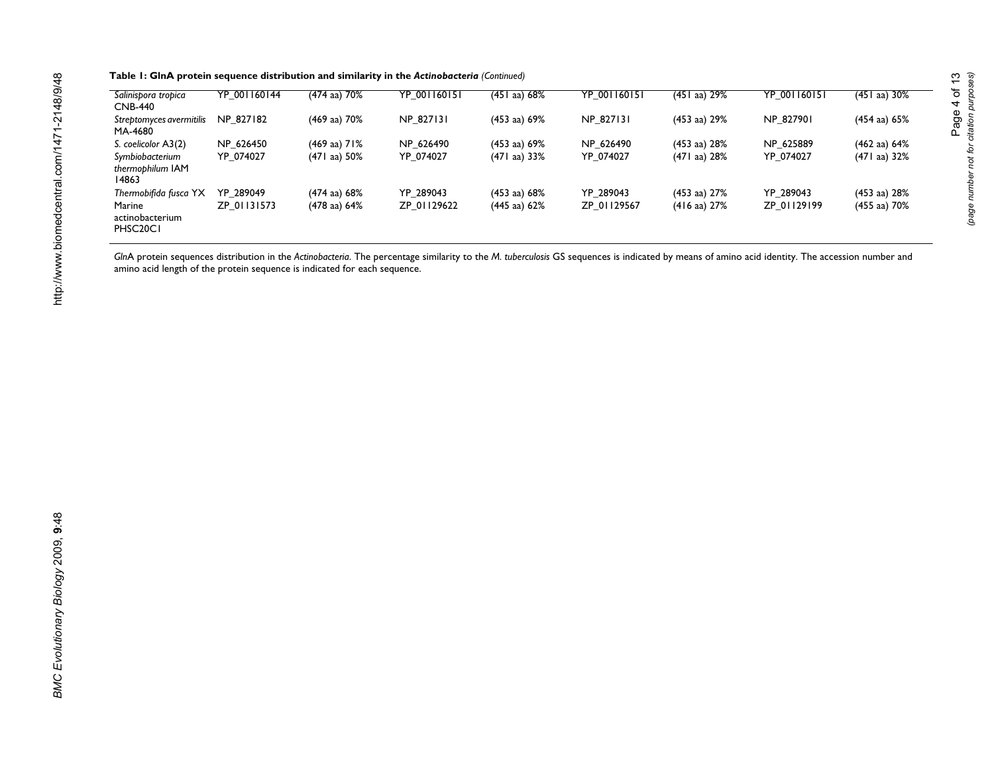|  | Table 1: GlnA protein sequence distribution and similarity in the Actinobacteria (Continued) |  |  |  |
|--|----------------------------------------------------------------------------------------------|--|--|--|
|--|----------------------------------------------------------------------------------------------|--|--|--|

| Salinispora tropica<br><b>CNB-440</b>                          | YP 001160144 | (474 aa) 70%           | YP 001160151 | $(451$ aa) 68%          | YP 001160151 | $(451$ aa) 29%          | YP 001160151 | $(451$ aa) 30%          |
|----------------------------------------------------------------|--------------|------------------------|--------------|-------------------------|--------------|-------------------------|--------------|-------------------------|
| Streptomyces avermitilis<br>MA-4680                            | NP 827182    | (469 aa) 70%           | NP 827131    | $(453 \text{ aa}) 69\%$ | NP 827131    | $(453 \text{ aa}) 29\%$ | NP 827901    | $(454$ aa) $65%$        |
| S. coelicolor A3(2)                                            | NP 626450    | $(469 \text{ aa})$ 71% | NP 626490    | $(453 \text{ aa}) 69\%$ | NP 626490    | (453 aa) 28%            | NP 625889    | $(462 \text{ aa}) 64\%$ |
| Symbiobacterium<br>thermophilum IAM<br>14863                   | YP 074027    | $(471$ aa) $50\%$      | YP 074027    | $(471$ aa) 33%          | YP 074027    | (471 aa) 28%            | YP 074027    | $(471$ aa) 32%          |
| Thermobifida fusca YX                                          | YP 289049    | $(474$ aa) 68%         | YP 289043    | $(453 \text{ aa}) 68\%$ | YP 289043    | $(453 \text{ aa}) 27\%$ | YP 289043    | $(453 \text{ aa}) 28\%$ |
| Marine<br>actinobacterium<br>PHSC <sub>20</sub> C <sub>1</sub> | ZP 01131573  | (478 aa) 64%           | ZP 01129622  | $(445$ aa) $62\%$       | ZP 01129567  | $(416 \text{ aa}) 27\%$ | ZP 01129199  | $(455$ aa) 70%          |

*Gln*A protein sequences distribution in the *Actinobacteria*. The percentage similarity to the *M. tuberculosis* GS sequences is indicated by means of amino acid identity. The accession number and amino acid length of the protein sequence is indicated for each sequence.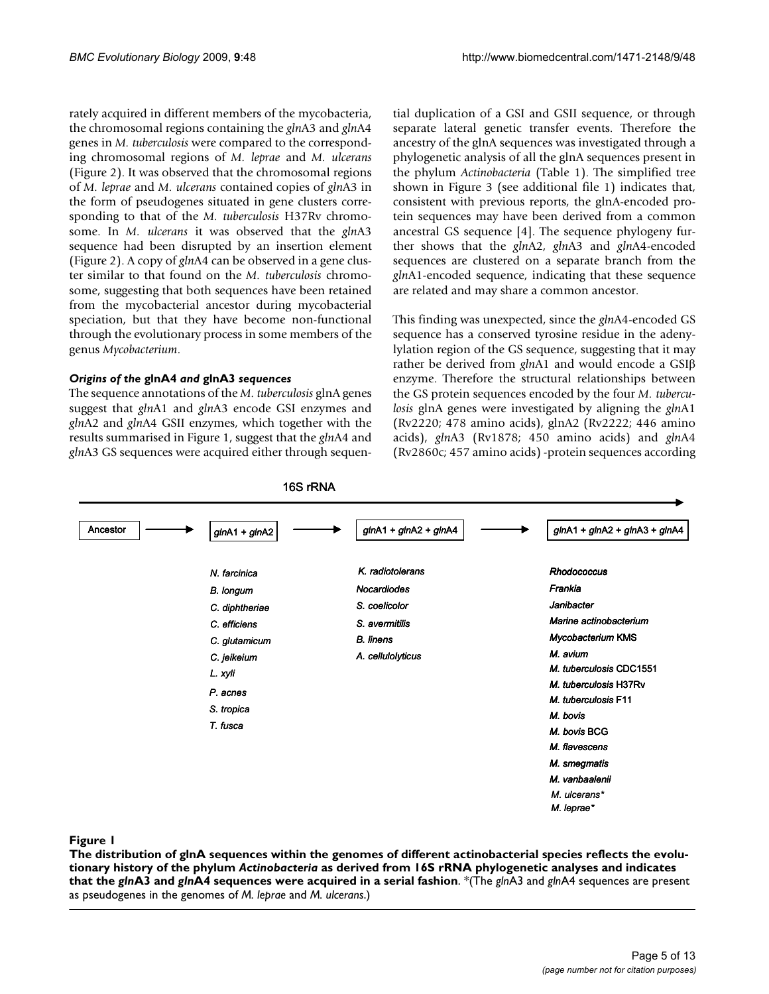rately acquired in different members of the mycobacteria, the chromosomal regions containing the *gln*A3 and *gln*A4 genes in *M. tuberculosis* were compared to the corresponding chromosomal regions of *M. leprae* and *M. ulcerans* (Figure 2). It was observed that the chromosomal regions of *M. leprae* and *M. ulcerans* contained copies of *gln*A3 in the form of pseudogenes situated in gene clusters corresponding to that of the *M. tuberculosis* H37Rv chromosome. In *M. ulcerans* it was observed that the *gln*A3 sequence had been disrupted by an insertion element (Figure 2). A copy of *gln*A4 can be observed in a gene cluster similar to that found on the *M. tuberculosis* chromosome, suggesting that both sequences have been retained from the mycobacterial ancestor during mycobacterial speciation, but that they have become non-functional through the evolutionary process in some members of the genus *Mycobacterium*.

#### *Origins of the* **glnA4** *and* **glnA3** *sequences*

The sequence annotations of the *M. tuberculosis* glnA genes suggest that *gln*A1 and *gln*A3 encode GSI enzymes and *gln*A2 and *gln*A4 GSII enzymes, which together with the results summarised in Figure 1, suggest that the *gln*A4 and *gln*A3 GS sequences were acquired either through sequential duplication of a GSI and GSII sequence, or through separate lateral genetic transfer events. Therefore the ancestry of the glnA sequences was investigated through a phylogenetic analysis of all the glnA sequences present in the phylum *Actinobacteria* (Table 1). The simplified tree shown in Figure 3 (see additional file 1) indicates that, consistent with previous reports, the glnA-encoded protein sequences may have been derived from a common ancestral GS sequence [4]. The sequence phylogeny further shows that the *gln*A2, *gln*A3 and *gln*A4-encoded sequences are clustered on a separate branch from the *gln*A1-encoded sequence, indicating that these sequence are related and may share a common ancestor.

This finding was unexpected, since the *gln*A4-encoded GS sequence has a conserved tyrosine residue in the adenylylation region of the GS sequence, suggesting that it may rather be derived from *gln*A1 and would encode a GSIβ enzyme. Therefore the structural relationships between the GS protein sequences encoded by the four *M. tuberculosis* glnA genes were investigated by aligning the *gln*A1 (Rv2220; 478 amino acids), glnA2 (Rv2222; 446 amino acids), *gln*A3 (Rv1878; 450 amino acids) and *gln*A4 (Rv2860c; 457 amino acids) -protein sequences according



## Figure 1 and 2008 and 2008 and 2008 and 2008 and 2008 and 2008 and 2008 and 2008 and 2008 and 2008 and 2008 an

**The distribution of glnA sequences within the genomes of different actinobacterial species reflects the evolutionary history of the phylum** *Actinobacteria* **as derived from 16S rRNA phylogenetic analyses and indicates that the** *gln***A3 and** *gln***A4 sequences were acquired in a serial fashion**. \*(The *gln*A3 and *gln*A4 sequences are present as pseudogenes in the genomes of *M. leprae* and *M. ulcerans*.)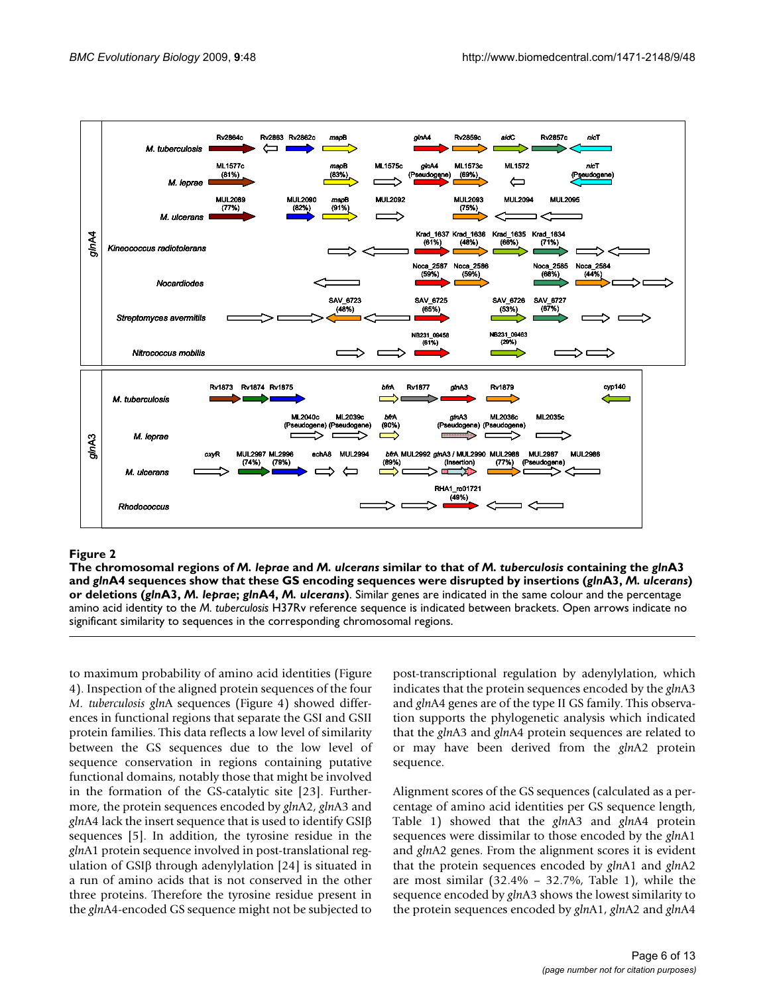

#### Figure 2 and 2008 and 2008 and 2008 and 2008 and 2008 and 2008 and 2008 and 2008 and 2008 and 2008 and 2008 an

**The chromosomal regions of** *M. leprae* **and** *M. ulcerans* **similar to that of** *M. tuberculosis* **containing the** *gln***A3 and** *gln***A4 sequences show that these GS encoding sequences were disrupted by insertions (***gln***A3,** *M. ulcerans***) or deletions (***gln***A3,** *M. leprae***;** *gln***A4,** *M. ulcerans***)**. Similar genes are indicated in the same colour and the percentage amino acid identity to the *M. tuberculosis* H37Rv reference sequence is indicated between brackets. Open arrows indicate no significant similarity to sequences in the corresponding chromosomal regions.

to maximum probability of amino acid identities (Figure 4). Inspection of the aligned protein sequences of the four *M. tuberculosis gln*A sequences (Figure 4) showed differences in functional regions that separate the GSI and GSII protein families. This data reflects a low level of similarity between the GS sequences due to the low level of sequence conservation in regions containing putative functional domains, notably those that might be involved in the formation of the GS-catalytic site [23]. Furthermore, the protein sequences encoded by *gln*A2, *gln*A3 and *gln*A4 lack the insert sequence that is used to identify GSIβ sequences [5]. In addition, the tyrosine residue in the *gln*A1 protein sequence involved in post-translational regulation of GSIβ through adenylylation [24] is situated in a run of amino acids that is not conserved in the other three proteins. Therefore the tyrosine residue present in the *gln*A4-encoded GS sequence might not be subjected to

post-transcriptional regulation by adenylylation, which indicates that the protein sequences encoded by the *gln*A3 and *gln*A4 genes are of the type II GS family. This observation supports the phylogenetic analysis which indicated that the *gln*A3 and *gln*A4 protein sequences are related to or may have been derived from the *gln*A2 protein sequence.

Alignment scores of the GS sequences (calculated as a percentage of amino acid identities per GS sequence length, Table 1) showed that the *gln*A3 and *gln*A4 protein sequences were dissimilar to those encoded by the *gln*A1 and *gln*A2 genes. From the alignment scores it is evident that the protein sequences encoded by *gln*A1 and *gln*A2 are most similar  $(32.4\% - 32.7\% ,$  Table 1), while the sequence encoded by *gln*A3 shows the lowest similarity to the protein sequences encoded by *gln*A1, *gln*A2 and *gln*A4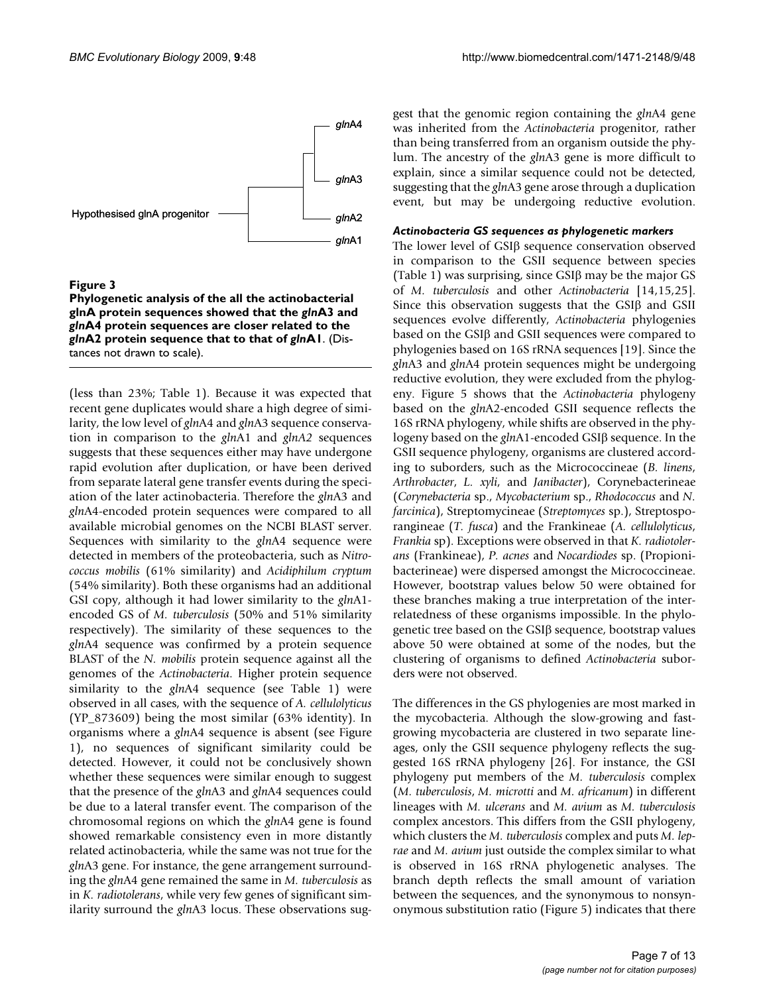

#### **Figure 3**

**Phylogenetic analysis of the all the actinobacterial glnA protein sequences showed that the** *gln***A3 and**  *gln***A4 protein sequences are closer related to the**  *gln***A2 protein sequence that to that of** *gln***A1**. (Distances not drawn to scale).

(less than 23%; Table 1). Because it was expected that recent gene duplicates would share a high degree of similarity, the low level of *gln*A4 and *gln*A3 sequence conservation in comparison to the *gln*A1 and *glnA2* sequences suggests that these sequences either may have undergone rapid evolution after duplication, or have been derived from separate lateral gene transfer events during the speciation of the later actinobacteria. Therefore the *gln*A3 and *gln*A4-encoded protein sequences were compared to all available microbial genomes on the NCBI BLAST server. Sequences with similarity to the *gln*A4 sequence were detected in members of the proteobacteria, such as *Nitrococcus mobilis* (61% similarity) and *Acidiphilum cryptum* (54% similarity). Both these organisms had an additional GSI copy, although it had lower similarity to the *gln*A1 encoded GS of *M. tuberculosis* (50% and 51% similarity respectively). The similarity of these sequences to the *gln*A4 sequence was confirmed by a protein sequence BLAST of the *N. mobilis* protein sequence against all the genomes of the *Actinobacteria*. Higher protein sequence similarity to the *gln*A4 sequence (see Table 1) were observed in all cases, with the sequence of *A. cellulolyticus* (YP\_873609) being the most similar (63% identity). In organisms where a *gln*A4 sequence is absent (see Figure 1), no sequences of significant similarity could be detected. However, it could not be conclusively shown whether these sequences were similar enough to suggest that the presence of the *gln*A3 and *gln*A4 sequences could be due to a lateral transfer event. The comparison of the chromosomal regions on which the *gln*A4 gene is found showed remarkable consistency even in more distantly related actinobacteria, while the same was not true for the *gln*A3 gene. For instance, the gene arrangement surrounding the *gln*A4 gene remained the same in *M. tuberculosis* as in *K. radiotolerans*, while very few genes of significant similarity surround the *gln*A3 locus. These observations suggest that the genomic region containing the *gln*A4 gene was inherited from the *Actinobacteria* progenitor, rather than being transferred from an organism outside the phylum. The ancestry of the *gln*A3 gene is more difficult to explain, since a similar sequence could not be detected, suggesting that the *gln*A3 gene arose through a duplication event, but may be undergoing reductive evolution.

#### *Actinobacteria GS sequences as phylogenetic markers*

The lower level of GSIβ sequence conservation observed in comparison to the GSII sequence between species (Table 1) was surprising, since  $GSI\beta$  may be the major  $GS$ of *M. tuberculosis* and other *Actinobacteria* [14,15,25]. Since this observation suggests that the GSIβ and GSII sequences evolve differently, *Actinobacteria* phylogenies based on the GSIβ and GSII sequences were compared to phylogenies based on 16S rRNA sequences [19]. Since the *gln*A3 and *gln*A4 protein sequences might be undergoing reductive evolution, they were excluded from the phylogeny. Figure 5 shows that the *Actinobacteria* phylogeny based on the *gln*A2-encoded GSII sequence reflects the 16S rRNA phylogeny, while shifts are observed in the phylogeny based on the *gln*A1-encoded GSIβ sequence. In the GSII sequence phylogeny, organisms are clustered according to suborders, such as the Micrococcineae (*B. linens*, *Arthrobacter*, *L. xyli*, and *Janibacter*), Corynebacterineae (*Corynebacteria* sp., *Mycobacterium* sp., *Rhodococcus* and *N. farcinica*), Streptomycineae (*Streptomyces* sp.), Streptosporangineae (*T. fusca*) and the Frankineae (*A. cellulolyticus*, *Frankia* sp). Exceptions were observed in that *K. radiotolerans* (Frankineae), *P. acnes* and *Nocardiodes* sp. (Propionibacterineae) were dispersed amongst the Micrococcineae. However, bootstrap values below 50 were obtained for these branches making a true interpretation of the interrelatedness of these organisms impossible. In the phylogenetic tree based on the GSIβ sequence, bootstrap values above 50 were obtained at some of the nodes, but the clustering of organisms to defined *Actinobacteria* suborders were not observed.

The differences in the GS phylogenies are most marked in the mycobacteria. Although the slow-growing and fastgrowing mycobacteria are clustered in two separate lineages, only the GSII sequence phylogeny reflects the suggested 16S rRNA phylogeny [26]. For instance, the GSI phylogeny put members of the *M. tuberculosis* complex (*M. tuberculosis*, *M. microtti* and *M. africanum*) in different lineages with *M. ulcerans* and *M. avium* as *M. tuberculosis* complex ancestors. This differs from the GSII phylogeny, which clusters the *M. tuberculosis* complex and puts *M. leprae* and *M. avium* just outside the complex similar to what is observed in 16S rRNA phylogenetic analyses. The branch depth reflects the small amount of variation between the sequences, and the synonymous to nonsynonymous substitution ratio (Figure 5) indicates that there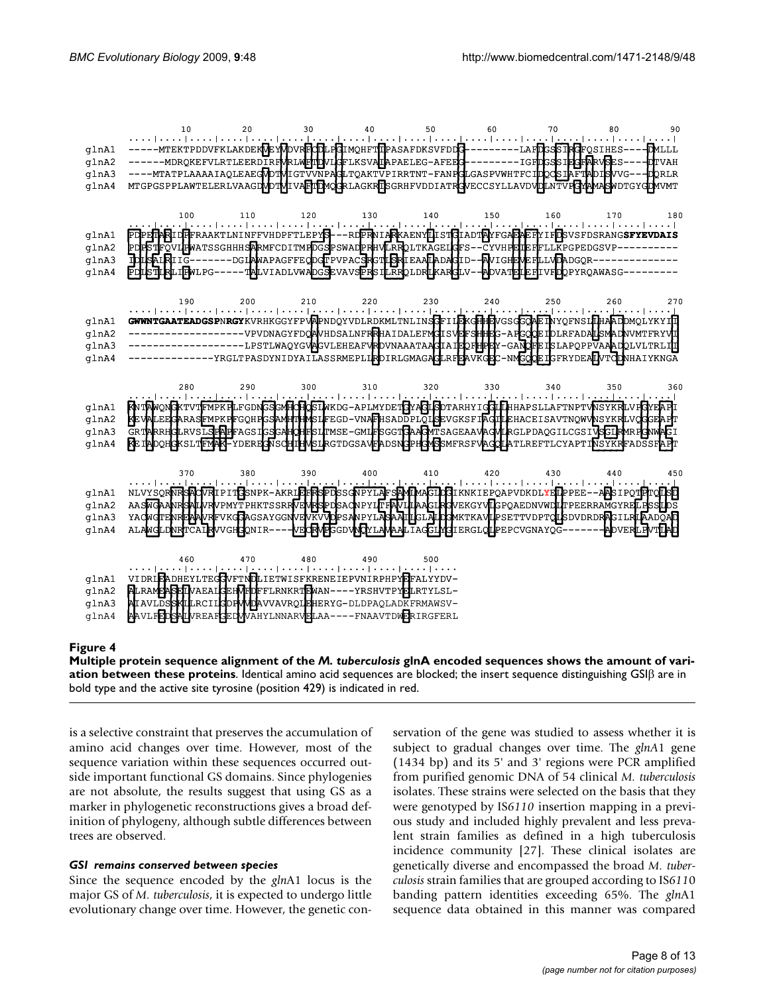|                                  | 10                                                                                                                                                                                                                                                                                                                                                                                                                                                                                                                                        | -20 | 30  | 40  | 50         | 60  | 70  | 80  | 90. |
|----------------------------------|-------------------------------------------------------------------------------------------------------------------------------------------------------------------------------------------------------------------------------------------------------------------------------------------------------------------------------------------------------------------------------------------------------------------------------------------------------------------------------------------------------------------------------------------|-----|-----|-----|------------|-----|-----|-----|-----|
| glnA1<br>glnA2<br>glnA3<br>glnA4 | المنجوع المتمار المتماز ووضوا فوجئا المتمثر المتمثل متمار المتمثل منوط والمواطئ والمواصل المتمثل المتمثل المتمثل ممتد<br>----- MTEKTPDDVFKLAKDEK <b>VEXPOVRFCDLPCLM</b> QHFT <b>IP</b> ASAFDKSVFDDC--------LAF <b>DGSSTRGF</b> QSIHES---- DMLLL<br>------MDRQKEFVLRTLEERDIRFMRLMFIDVLGFLKSVALAPAELEG-AFEEG----------IGFDGSSIEGFARVSES----DTVAH<br>----MTATPLAAAAIAQLEAEGVDTVIGTVVNPAGLTQAKTVPIRRTNT-FANPGLGASPVWHTFCIDQCSIAFTADISVVG---DQRLR<br>MTGPGSPPLAWTELERLVAAGDVDTVILTLDMQGRLAGKRISGRHFVDDIATRGVECCSYLLAVDVDLNTVFGYAMASWDTGYGDVVMT |     |     |     |            |     |     |     |     |
| glnA1<br>glnA2<br>glnA3<br>qlnA4 | 100<br>الْمُحْجَا حَجَجًا مُحَجَلَ لَحَجَ <u>دًا مُحَرَا مَ</u> حَجَلَ الْمَحْجَلَ حَجَجَلَ حَجَلَ مَحَالَ مَحَالَ المَحَالَ مي المحت<br>PDPETARIDFFRAAKTLNINFFVHDPFTLEPYS---RDPRNIARKAENYLISTGIADTAYFGAEAEFYIFDSVSFDSRANG <b>SFYEVDAIS</b><br>PDPSTFQVLPMATSSGHHHSARMFCDITMPDGSPSWADPRHVLRRQLTKAGELGFS--CYVHPELEFFLLKPGPEDGSVP---------<br>TDISAIRIIG-------DGIAWAPAGFFEQDQFPVPACBRGTIBRIEAAIADAQID--AVIGHEMEFLLVDADGQR----------<br>PDLSTLRLIEMLPG-----TALVIADLVWADGSEVAVSPRSTLRRQLDRLKARGLV--ADVATELEFIVFDQPYRQAWASG---------          | 110 | 120 | 130 | 140<br>150 |     | 160 | 170 | 180 |
| glnA1<br>glnA2<br>glnA3<br>qlnA4 | 190<br><u>ال</u> محمد (محمد إحميد ) محمد ( <u>محمد المحمد بال</u> محمد إحمد من (محمد ) محمد (محمد ) محمد) محمد ) محمد (محمد ) محمد ) محمد<br>GWWNTGAATEADGSPNRGYKVRHKGGYFPVAPNDQYVDLRDKMLTNLINSGFILFKGHHDVGSGGQAETNYQFNSLHHAADDMQLYKYTH<br>--------------------vpvdnagyfddaunealnfrahaidalefydfisydfshidds-afgodeidlrfadalismadwrffryyd<br>---------------YRGLTPASDYNIDYAILASSRMEPLIRDIRLGMAGAGLRFPAVKGDC-NMGQQEIGFRYDEALVTQDNHAIYKNGA                                                                                                    | 200 | 210 | 220 | 230        | 240 |     | 260 | 270 |
| glnA1<br>glnA2<br>qlnA3<br>glnA4 | <b>RNTAWONGKTVTFMPKPLFGDNGSGMFGFLSTWKDG-APLMYDETGYAGLSDTARHYIGGLFLHHAPSLLAFTNPTVNSYKRLVFGYEAPL</b><br>KEVALEEKARASEMPKPFGQHPGSAMPTHMSLFEGD-VNAFHSADDPLQISEVGKSFIAGILEHACEISAVTNQWVMSYKRLVQGGEAPT<br>GRTARRHGLRVSLGPAPFAGSIGSGAHOHFSLTMSE-GMLFSGGTGAAGMTSAGEAAVAGMLRGLPDAQGILCGSIVSGIRMRHGNWAGI<br><b>KEIADQHGKSLTEMAK-YDEREGVSCHIHMSLRGTDGSAVEADSNGPHGMSSMFRSFVAGQLATLREFTLCYAPTI<u>VSYKR</u>FADSSFAPT</b>                                                                                                                                |     |     |     |            |     |     |     | 360 |
| glnA1<br>glnA2<br>glnA3<br>qlnA4 | NLVYSQR <b>WRSAQVRIPITGS</b> NPK-AKRI <b>GFRSPDSSGWPYLAFSAMIMAGIDG</b> IKNKIEPQAPVDKDLYFIPPEE--AASIPQTGTSO<br>AASWGAANRSALVRVPMYTPHKTSSRRVPMBSPDSAQNPYLTFAVILAAGIRGVEKGYVLGPQAEDNVWDLTPEERRAMGYRELPSSLDS<br>YACWGTENREAAVREVKGJAGSAYGGNVEVKVYDPSANPYLASAATLGLAHAAWKTKAVIPSETTVDPTQLSDVDRDRAGILRIEADQAD<br>ALAWGLDNRTCAIRWGH3QNIR----WEGRWFGGDVNQYLAWAALIAGELW3IERGLQLPEPCVGNAYQG--------ADVERLFWTLAD                                                                                                                                      |     |     |     |            |     |     |     | 450 |
| glnA1<br>glnA2<br>glnA3<br>qlnA4 | 460 470<br>ة معند ( معند <u>) معند ( معند ( معند ) معند ( معند )</u> معند ( معند ) معند <u>) معند</u> ( معند<br>VIDRIEADHEYLTEGGVFTNDLIETWISFKRENEIEPVNIRPHPYEFALYYDV-<br>ALRAMEASEIVAEALGEHVEDFFLRNKRTEWAN----YRSHVTPYELRTYLSL-<br>AIAVLDSSKILLRCIIGDPM/DAVVAVRQIFHERYG-DLDPAQLADKFRMAWSV-<br><b>AAVLFEDSALVREAFGEDMVAHYLNNARVELAA----FNAAVTDWERIRGFERL</b>                                                                                                                                                                              | 480 |     | 490 | 500        |     |     |     |     |

#### Multiple protein sequence alignment of the these proteins **Figure 4** *M. tuberculosis* glnA encoded sequences shows the amount of variation between

**Multiple protein sequence alignment of the** *M. tuberculosis* **glnA encoded sequences shows the amount of variation between these proteins**. Identical amino acid sequences are blocked; the insert sequence distinguishing GSIβ are in bold type and the active site tyrosine (position 429) is indicated in red.

is a selective constraint that preserves the accumulation of amino acid changes over time. However, most of the sequence variation within these sequences occurred outside important functional GS domains. Since phylogenies are not absolute, the results suggest that using GS as a marker in phylogenetic reconstructions gives a broad definition of phylogeny, although subtle differences between trees are observed.

#### *GSI remains conserved between species*

Since the sequence encoded by the *gln*A1 locus is the major GS of *M. tuberculosis*, it is expected to undergo little evolutionary change over time. However, the genetic conservation of the gene was studied to assess whether it is subject to gradual changes over time. The *glnA*1 gene (1434 bp) and its 5' and 3' regions were PCR amplified from purified genomic DNA of 54 clinical *M. tuberculosis* isolates. These strains were selected on the basis that they were genotyped by IS*6110* insertion mapping in a previous study and included highly prevalent and less prevalent strain families as defined in a high tuberculosis incidence community [27]. These clinical isolates are genetically diverse and encompassed the broad *M. tuberculosis* strain families that are grouped according to IS*611*0 banding pattern identities exceeding 65%. The *gln*A1 sequence data obtained in this manner was compared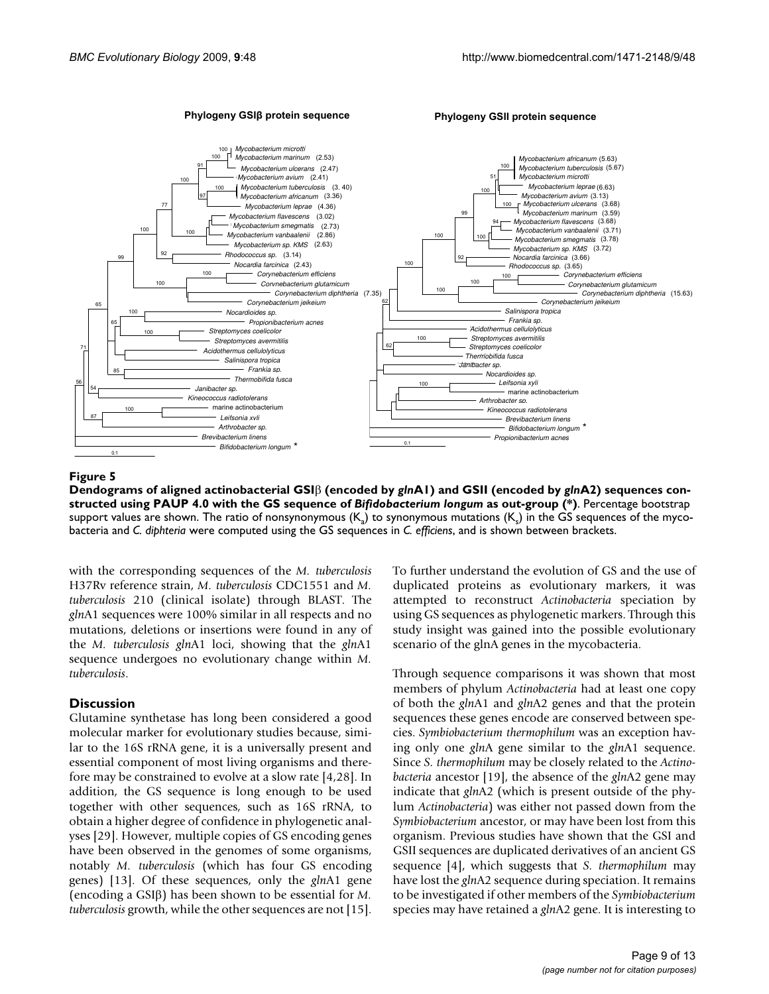

## PAUP 4.0 with the GS sequence of **Figure 5** Dendograms of aligned actinobacterial GSI *Bifidobacterium longum* β (encoded by *gln*as out-group (\*) A1) and GSII (encoded by *gln*A2) sequences constructed using

**Dendograms of aligned actinobacterial GSI**β **(encoded by** *gln***A1) and GSII (encoded by** *gln***A2) sequences constructed using PAUP 4.0 with the GS sequence of** *Bifidobacterium longum* **as out-group (\*)**. Percentage bootstrap support values are shown. The ratio of nonsynonymous  $(K_a)$  to synonymous mutations  $(K_c)$  in the GS sequences of the mycobacteria and *C. diphteria* were computed using the GS sequences in *C. efficiens*, and is shown between brackets.

with the corresponding sequences of the *M. tuberculosis* H37Rv reference strain, *M. tuberculosis* CDC1551 and *M. tuberculosis* 210 (clinical isolate) through BLAST. The *gln*A1 sequences were 100% similar in all respects and no mutations, deletions or insertions were found in any of the *M. tuberculosis gln*A1 loci, showing that the *gln*A1 sequence undergoes no evolutionary change within *M. tuberculosis*.

#### **Discussion**

Glutamine synthetase has long been considered a good molecular marker for evolutionary studies because, similar to the 16S rRNA gene, it is a universally present and essential component of most living organisms and therefore may be constrained to evolve at a slow rate [4,28]. In addition, the GS sequence is long enough to be used together with other sequences, such as 16S rRNA, to obtain a higher degree of confidence in phylogenetic analyses [29]. However, multiple copies of GS encoding genes have been observed in the genomes of some organisms, notably *M. tuberculosis* (which has four GS encoding genes) [13]. Of these sequences, only the *gln*A1 gene (encoding a GSIβ) has been shown to be essential for *M. tuberculosis* growth, while the other sequences are not [15].

To further understand the evolution of GS and the use of duplicated proteins as evolutionary markers, it was attempted to reconstruct *Actinobacteria* speciation by using GS sequences as phylogenetic markers. Through this study insight was gained into the possible evolutionary scenario of the glnA genes in the mycobacteria.

Through sequence comparisons it was shown that most members of phylum *Actinobacteria* had at least one copy of both the *gln*A1 and *gln*A2 genes and that the protein sequences these genes encode are conserved between species. *Symbiobacterium thermophilum* was an exception having only one *gln*A gene similar to the *gln*A1 sequence. Since *S. thermophilum* may be closely related to the *Actinobacteria* ancestor [19], the absence of the *gln*A2 gene may indicate that *gln*A2 (which is present outside of the phylum *Actinobacteria*) was either not passed down from the *Symbiobacterium* ancestor, or may have been lost from this organism. Previous studies have shown that the GSI and GSII sequences are duplicated derivatives of an ancient GS sequence [4], which suggests that *S. thermophilum* may have lost the *gln*A2 sequence during speciation. It remains to be investigated if other members of the *Symbiobacterium* species may have retained a *gln*A2 gene. It is interesting to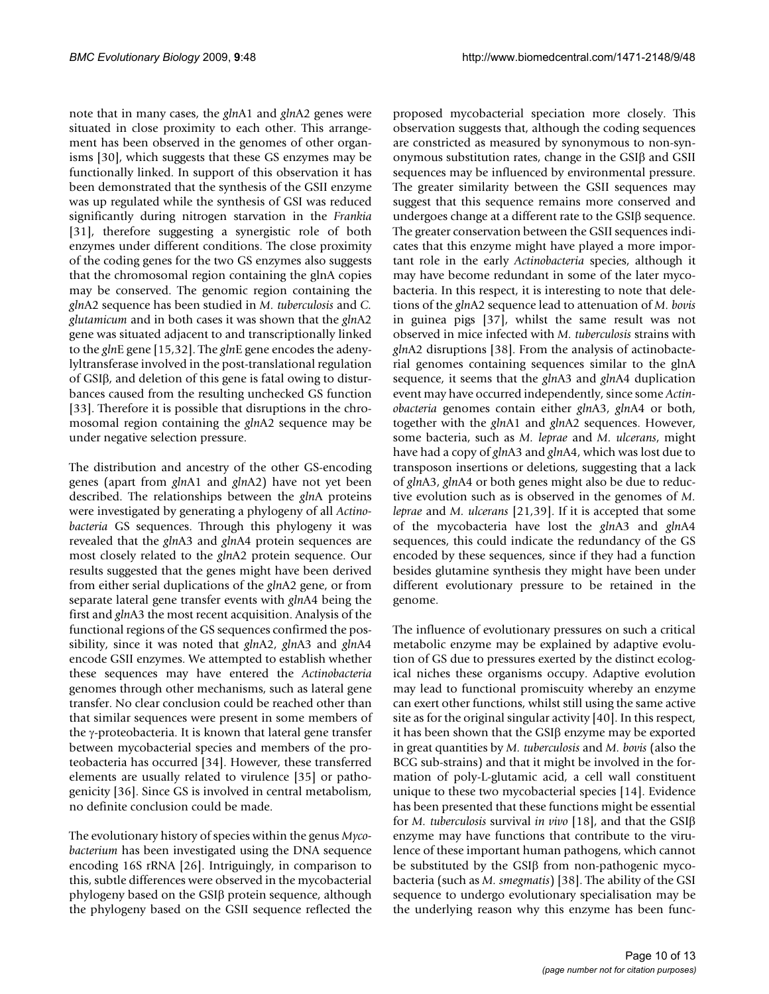note that in many cases, the *gln*A1 and *gln*A2 genes were situated in close proximity to each other. This arrangement has been observed in the genomes of other organisms [30], which suggests that these GS enzymes may be functionally linked. In support of this observation it has been demonstrated that the synthesis of the GSII enzyme was up regulated while the synthesis of GSI was reduced significantly during nitrogen starvation in the *Frankia* [31], therefore suggesting a synergistic role of both enzymes under different conditions. The close proximity of the coding genes for the two GS enzymes also suggests that the chromosomal region containing the glnA copies may be conserved. The genomic region containing the *gln*A2 sequence has been studied in *M. tuberculosis* and *C. glutamicum* and in both cases it was shown that the *gln*A2 gene was situated adjacent to and transcriptionally linked to the *gln*E gene [15,32]. The *gln*E gene encodes the adenylyltransferase involved in the post-translational regulation of GSIβ, and deletion of this gene is fatal owing to disturbances caused from the resulting unchecked GS function [33]. Therefore it is possible that disruptions in the chromosomal region containing the *gln*A2 sequence may be under negative selection pressure.

The distribution and ancestry of the other GS-encoding genes (apart from *gln*A1 and *gln*A2) have not yet been described. The relationships between the *gln*A proteins were investigated by generating a phylogeny of all *Actinobacteria* GS sequences. Through this phylogeny it was revealed that the *gln*A3 and *gln*A4 protein sequences are most closely related to the *gln*A2 protein sequence. Our results suggested that the genes might have been derived from either serial duplications of the *gln*A2 gene, or from separate lateral gene transfer events with *gln*A4 being the first and *gln*A3 the most recent acquisition. Analysis of the functional regions of the GS sequences confirmed the possibility, since it was noted that *gln*A2, *gln*A3 and *gln*A4 encode GSII enzymes. We attempted to establish whether these sequences may have entered the *Actinobacteria* genomes through other mechanisms, such as lateral gene transfer. No clear conclusion could be reached other than that similar sequences were present in some members of the γ-proteobacteria. It is known that lateral gene transfer between mycobacterial species and members of the proteobacteria has occurred [34]. However, these transferred elements are usually related to virulence [35] or pathogenicity [36]. Since GS is involved in central metabolism, no definite conclusion could be made.

The evolutionary history of species within the genus *Mycobacterium* has been investigated using the DNA sequence encoding 16S rRNA [26]. Intriguingly, in comparison to this, subtle differences were observed in the mycobacterial phylogeny based on the GSIβ protein sequence, although the phylogeny based on the GSII sequence reflected the proposed mycobacterial speciation more closely. This observation suggests that, although the coding sequences are constricted as measured by synonymous to non-synonymous substitution rates, change in the GSIβ and GSII sequences may be influenced by environmental pressure. The greater similarity between the GSII sequences may suggest that this sequence remains more conserved and undergoes change at a different rate to the GSIβ sequence. The greater conservation between the GSII sequences indicates that this enzyme might have played a more important role in the early *Actinobacteria* species, although it may have become redundant in some of the later mycobacteria. In this respect, it is interesting to note that deletions of the *gln*A2 sequence lead to attenuation of *M. bovis* in guinea pigs [37], whilst the same result was not observed in mice infected with *M. tuberculosis* strains with *gln*A2 disruptions [38]. From the analysis of actinobacterial genomes containing sequences similar to the glnA sequence, it seems that the *gln*A3 and *gln*A4 duplication event may have occurred independently, since some *Actinobacteria* genomes contain either *gln*A3, *gln*A4 or both, together with the *gln*A1 and *gln*A2 sequences. However, some bacteria, such as *M. leprae* and *M. ulcerans*, might have had a copy of *gln*A3 and *gln*A4, which was lost due to transposon insertions or deletions, suggesting that a lack of *gln*A3, *gln*A4 or both genes might also be due to reductive evolution such as is observed in the genomes of *M. leprae* and *M. ulcerans* [21,39]. If it is accepted that some of the mycobacteria have lost the *gln*A3 and *gln*A4 sequences, this could indicate the redundancy of the GS encoded by these sequences, since if they had a function besides glutamine synthesis they might have been under different evolutionary pressure to be retained in the genome.

The influence of evolutionary pressures on such a critical metabolic enzyme may be explained by adaptive evolution of GS due to pressures exerted by the distinct ecological niches these organisms occupy. Adaptive evolution may lead to functional promiscuity whereby an enzyme can exert other functions, whilst still using the same active site as for the original singular activity [40]. In this respect, it has been shown that the GSIβ enzyme may be exported in great quantities by *M. tuberculosis* and *M. bovis* (also the BCG sub-strains) and that it might be involved in the formation of poly-L-glutamic acid, a cell wall constituent unique to these two mycobacterial species [14]. Evidence has been presented that these functions might be essential for *M. tuberculosis* survival *in vivo* [18], and that the GSIβ enzyme may have functions that contribute to the virulence of these important human pathogens, which cannot be substituted by the GSIβ from non-pathogenic mycobacteria (such as *M. smegmatis*) [38]. The ability of the GSI sequence to undergo evolutionary specialisation may be the underlying reason why this enzyme has been func-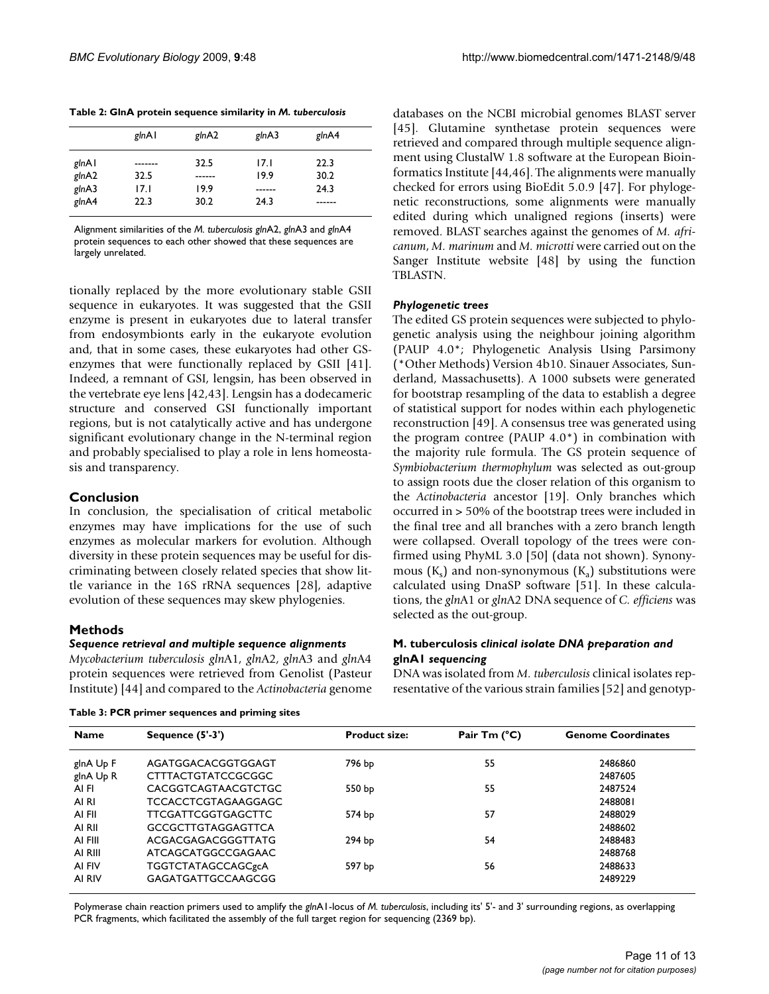|       | glnAl   | glnA2  | glnA3  | glnA4 |
|-------|---------|--------|--------|-------|
| glnAl | ------- | 32.5   | 17.I   | 22.3  |
| glnA2 | 32.5    | ------ | 19.9   | 30.2  |
| glnA3 | 17.I    | 19.9   | ------ | 24.3  |
| glnA4 | 22.3    | 30.2   | 24.3   | .     |

**Table 2: GlnA protein sequence similarity in** *M. tuberculosis*

Alignment similarities of the *M. tuberculosis gln*A2, *gln*A3 and *gln*A4 protein sequences to each other showed that these sequences are largely unrelated.

tionally replaced by the more evolutionary stable GSII sequence in eukaryotes. It was suggested that the GSII enzyme is present in eukaryotes due to lateral transfer from endosymbionts early in the eukaryote evolution and, that in some cases, these eukaryotes had other GSenzymes that were functionally replaced by GSII [41]. Indeed, a remnant of GSI, lengsin, has been observed in the vertebrate eye lens [42,43]. Lengsin has a dodecameric structure and conserved GSI functionally important regions, but is not catalytically active and has undergone significant evolutionary change in the N-terminal region and probably specialised to play a role in lens homeostasis and transparency.

## **Conclusion**

In conclusion, the specialisation of critical metabolic enzymes may have implications for the use of such enzymes as molecular markers for evolution. Although diversity in these protein sequences may be useful for discriminating between closely related species that show little variance in the 16S rRNA sequences [28], adaptive evolution of these sequences may skew phylogenies.

## **Methods**

#### *Sequence retrieval and multiple sequence alignments*

*Mycobacterium tuberculosis gln*A1, *gln*A2, *gln*A3 and *gln*A4 protein sequences were retrieved from Genolist (Pasteur Institute) [44] and compared to the *Actinobacteria* genome [45]. Glutamine synthetase protein sequences were retrieved and compared through multiple sequence alignment using ClustalW 1.8 software at the European Bioinformatics Institute [44,46]. The alignments were manually checked for errors using BioEdit 5.0.9 [47]. For phylogenetic reconstructions, some alignments were manually edited during which unaligned regions (inserts) were removed. BLAST searches against the genomes of *M. africanum*, *M. marinum* and *M. microtti* were carried out on the Sanger Institute website [48] by using the function TBLASTN.

databases on the NCBI microbial genomes BLAST server

#### *Phylogenetic trees*

The edited GS protein sequences were subjected to phylogenetic analysis using the neighbour joining algorithm (PAUP 4.0\*; Phylogenetic Analysis Using Parsimony (\*Other Methods) Version 4b10. Sinauer Associates, Sunderland, Massachusetts). A 1000 subsets were generated for bootstrap resampling of the data to establish a degree of statistical support for nodes within each phylogenetic reconstruction [49]. A consensus tree was generated using the program contree (PAUP 4.0\*) in combination with the majority rule formula. The GS protein sequence of *Symbiobacterium thermophylum* was selected as out-group to assign roots due the closer relation of this organism to the *Actinobacteria* ancestor [19]. Only branches which occurred in > 50% of the bootstrap trees were included in the final tree and all branches with a zero branch length were collapsed. Overall topology of the trees were confirmed using PhyML 3.0 [50] (data not shown). Synonymous  $(K_s)$  and non-synonymous  $(K_a)$  substitutions were calculated using DnaSP software [51]. In these calculations, the *gln*A1 or *gln*A2 DNA sequence of *C. efficiens* was selected as the out-group.

## **M. tuberculosis** *clinical isolate DNA preparation and*  **glnA1** *sequencing*

DNA was isolated from *M. tuberculosis* clinical isolates representative of the various strain families [52] and genotyp-

| <b>Name</b> | Sequence $(5'-3')$         | <b>Product size:</b> | Pair Tm $(^{\circ}C)$ | <b>Genome Coordinates</b> |
|-------------|----------------------------|----------------------|-----------------------|---------------------------|
| glnA Up F   | AGATGGACACGGTGGAGT         | 796 bp               | 55                    | 2486860                   |
| glnA Up R   | CTTTACTGTATCCGCGGC         |                      |                       | 2487605                   |
| AI FI       | <b>CACGGTCAGTAACGTCTGC</b> | 550 <sub>bp</sub>    | 55                    | 2487524                   |
| AI RI       | TCCACCTCGTAGAAGGAGC        |                      |                       | 2488081                   |
| AI FII      | <b>TTCGATTCGGTGAGCTTC</b>  | 574 bp               | 57                    | 2488029                   |
| AI RII      | <b>GCCGCTTGTAGGAGTTCA</b>  |                      |                       | 2488602                   |
| AI FIII     | ACGACGAGACGGGTTATG         | 294 bp               | 54                    | 2488483                   |
| AI RIII     | ATCAGCATGGCCGAGAAC         |                      |                       | 2488768                   |
| AI FIV      | <b>TGGTCTATAGCCAGCgcA</b>  | 597 bp               | 56                    | 2488633                   |
| AI RIV      | GAGATGATTGCCAAGCGG         |                      |                       | 2489229                   |

**Table 3: PCR primer sequences and priming sites**

Polymerase chain reaction primers used to amplify the *gln*A1-locus of *M. tuberculosis*, including its' 5'- and 3' surrounding regions, as overlapping PCR fragments, which facilitated the assembly of the full target region for sequencing (2369 bp).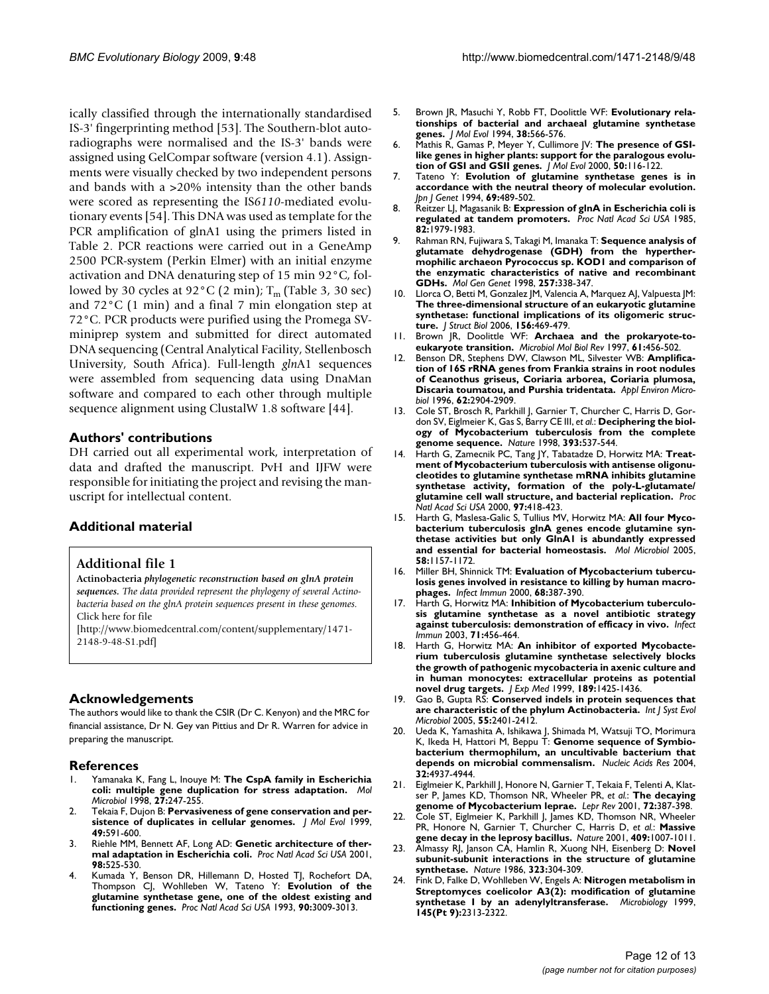ically classified through the internationally standardised IS-3' fingerprinting method [53]. The Southern-blot autoradiographs were normalised and the IS-3' bands were assigned using GelCompar software (version 4.1). Assignments were visually checked by two independent persons and bands with a >20% intensity than the other bands were scored as representing the IS*6110*-mediated evolutionary events [54]. This DNA was used as template for the PCR amplification of glnA1 using the primers listed in Table 2. PCR reactions were carried out in a GeneAmp 2500 PCR-system (Perkin Elmer) with an initial enzyme activation and DNA denaturing step of 15 min 92°C, followed by 30 cycles at 92 $^{\circ}$ C (2 min); T<sub>m</sub> (Table 3, 30 sec) and 72°C (1 min) and a final 7 min elongation step at 72°C. PCR products were purified using the Promega SVminiprep system and submitted for direct automated DNA sequencing (Central Analytical Facility, Stellenbosch University, South Africa). Full-length *gln*A1 sequences were assembled from sequencing data using DnaMan software and compared to each other through multiple sequence alignment using ClustalW 1.8 software [44].

#### **Authors' contributions**

DH carried out all experimental work, interpretation of data and drafted the manuscript. PvH and IJFW were responsible for initiating the project and revising the manuscript for intellectual content.

## **Additional material**

#### **Additional file 1**

**Actinobacteria** *phylogenetic reconstruction based on glnA protein sequences. The data provided represent the phylogeny of several Actinobacteria based on the glnA protein sequences present in these genomes.* Click here for file

[\[http://www.biomedcentral.com/content/supplementary/1471-](http://www.biomedcentral.com/content/supplementary/1471-2148-9-48-S1.pdf) 2148-9-48-S1.pdf]

## **Acknowledgements**

The authors would like to thank the CSIR (Dr C. Kenyon) and the MRC for financial assistance, Dr N. Gey van Pittius and Dr R. Warren for advice in preparing the manuscript.

#### **References**

- 1. Yamanaka K, Fang L, Inouye M: **[The CspA family in Escherichia](http://www.ncbi.nlm.nih.gov/entrez/query.fcgi?cmd=Retrieve&db=PubMed&dopt=Abstract&list_uids=9484881) [coli: multiple gene duplication for stress adaptation.](http://www.ncbi.nlm.nih.gov/entrez/query.fcgi?cmd=Retrieve&db=PubMed&dopt=Abstract&list_uids=9484881)** *Mol Microbiol* 1998, **27:**247-255.
- 2. Tekaia F, Dujon B: **[Pervasiveness of gene conservation and per](http://www.ncbi.nlm.nih.gov/entrez/query.fcgi?cmd=Retrieve&db=PubMed&dopt=Abstract&list_uids=10552040)[sistence of duplicates in cellular genomes.](http://www.ncbi.nlm.nih.gov/entrez/query.fcgi?cmd=Retrieve&db=PubMed&dopt=Abstract&list_uids=10552040)** *J Mol Evol* 1999, **49:**591-600.
- Riehle MM, Bennett AF, Long AD: [Genetic architecture of ther](http://www.ncbi.nlm.nih.gov/entrez/query.fcgi?cmd=Retrieve&db=PubMed&dopt=Abstract&list_uids=11149947)**[mal adaptation in Escherichia coli.](http://www.ncbi.nlm.nih.gov/entrez/query.fcgi?cmd=Retrieve&db=PubMed&dopt=Abstract&list_uids=11149947)** *Proc Natl Acad Sci USA* 2001, **98:**525-530.
- 4. Kumada Y, Benson DR, Hillemann D, Hosted TJ, Rochefort DA, Thompson CJ, Wohlleben W, Tateno Y: **[Evolution of the](http://www.ncbi.nlm.nih.gov/entrez/query.fcgi?cmd=Retrieve&db=PubMed&dopt=Abstract&list_uids=8096645) [glutamine synthetase gene, one of the oldest existing and](http://www.ncbi.nlm.nih.gov/entrez/query.fcgi?cmd=Retrieve&db=PubMed&dopt=Abstract&list_uids=8096645) [functioning genes.](http://www.ncbi.nlm.nih.gov/entrez/query.fcgi?cmd=Retrieve&db=PubMed&dopt=Abstract&list_uids=8096645)** *Proc Natl Acad Sci USA* 1993, **90:**3009-3013.
- 5. Brown JR, Masuchi Y, Robb FT, Doolittle WF: **[Evolutionary rela](http://www.ncbi.nlm.nih.gov/entrez/query.fcgi?cmd=Retrieve&db=PubMed&dopt=Abstract&list_uids=7916055)[tionships of bacterial and archaeal glutamine synthetase](http://www.ncbi.nlm.nih.gov/entrez/query.fcgi?cmd=Retrieve&db=PubMed&dopt=Abstract&list_uids=7916055) [genes.](http://www.ncbi.nlm.nih.gov/entrez/query.fcgi?cmd=Retrieve&db=PubMed&dopt=Abstract&list_uids=7916055)** *J Mol Evol* 1994, **38:**566-576.
- 6. Mathis R, Gamas P, Meyer Y, Cullimore JV: **[The presence of GSI](http://www.ncbi.nlm.nih.gov/entrez/query.fcgi?cmd=Retrieve&db=PubMed&dopt=Abstract&list_uids=10684345)[like genes in higher plants: support for the paralogous evolu](http://www.ncbi.nlm.nih.gov/entrez/query.fcgi?cmd=Retrieve&db=PubMed&dopt=Abstract&list_uids=10684345)[tion of GSI and GSII genes.](http://www.ncbi.nlm.nih.gov/entrez/query.fcgi?cmd=Retrieve&db=PubMed&dopt=Abstract&list_uids=10684345)** *J Mol Evol* 2000, **50:**116-122.
- 7. Tateno Y: **[Evolution of glutamine synthetase genes is in](http://www.ncbi.nlm.nih.gov/entrez/query.fcgi?cmd=Retrieve&db=PubMed&dopt=Abstract&list_uids=7999370) [accordance with the neutral theory of molecular evolution.](http://www.ncbi.nlm.nih.gov/entrez/query.fcgi?cmd=Retrieve&db=PubMed&dopt=Abstract&list_uids=7999370)** *Jpn J Genet* 1994, **69:**489-502.
- 8. Reitzer LJ, Magasanik B: **[Expression of glnA in Escherichia coli is](http://www.ncbi.nlm.nih.gov/entrez/query.fcgi?cmd=Retrieve&db=PubMed&dopt=Abstract&list_uids=2858855) [regulated at tandem promoters.](http://www.ncbi.nlm.nih.gov/entrez/query.fcgi?cmd=Retrieve&db=PubMed&dopt=Abstract&list_uids=2858855)** *Proc Natl Acad Sci USA* 1985, **82:**1979-1983.
- 9. Rahman RN, Fujiwara S, Takagi M, Imanaka T: **[Sequence analysis of](http://www.ncbi.nlm.nih.gov/entrez/query.fcgi?cmd=Retrieve&db=PubMed&dopt=Abstract&list_uids=9520268) [glutamate dehydrogenase \(GDH\) from the hyperther](http://www.ncbi.nlm.nih.gov/entrez/query.fcgi?cmd=Retrieve&db=PubMed&dopt=Abstract&list_uids=9520268)mophilic archaeon Pyrococcus sp. KOD1 and comparison of the enzymatic characteristics of native and recombinant [GDHs.](http://www.ncbi.nlm.nih.gov/entrez/query.fcgi?cmd=Retrieve&db=PubMed&dopt=Abstract&list_uids=9520268)** *Mol Gen Genet* 1998, **257:**338-347.
- 10. Llorca O, Betti M, Gonzalez JM, Valencia A, Marquez AJ, Valpuesta JM: **[The three-dimensional structure of an eukaryotic glutamine](http://www.ncbi.nlm.nih.gov/entrez/query.fcgi?cmd=Retrieve&db=PubMed&dopt=Abstract&list_uids=16884924) synthetase: functional implications of its oligomeric struc[ture.](http://www.ncbi.nlm.nih.gov/entrez/query.fcgi?cmd=Retrieve&db=PubMed&dopt=Abstract&list_uids=16884924)** *J Struct Biol* 2006, **156:**469-479.
- 11. Brown JR, Doolittle WF: **[Archaea and the prokaryote-to](http://www.ncbi.nlm.nih.gov/entrez/query.fcgi?cmd=Retrieve&db=PubMed&dopt=Abstract&list_uids=9409149)[eukaryote transition.](http://www.ncbi.nlm.nih.gov/entrez/query.fcgi?cmd=Retrieve&db=PubMed&dopt=Abstract&list_uids=9409149)** *Microbiol Mol Biol Rev* 1997, **61:**456-502.
- 12. Benson DR, Stephens DW, Clawson ML, Silvester WB: **[Amplifica](http://www.ncbi.nlm.nih.gov/entrez/query.fcgi?cmd=Retrieve&db=PubMed&dopt=Abstract&list_uids=8702283)[tion of 16S rRNA genes from Frankia strains in root nodules](http://www.ncbi.nlm.nih.gov/entrez/query.fcgi?cmd=Retrieve&db=PubMed&dopt=Abstract&list_uids=8702283) of Ceanothus griseus, Coriaria arborea, Coriaria plumosa, [Discaria toumatou, and Purshia tridentata.](http://www.ncbi.nlm.nih.gov/entrez/query.fcgi?cmd=Retrieve&db=PubMed&dopt=Abstract&list_uids=8702283)** *Appl Environ Microbiol* 1996, **62:**2904-2909.
- 13. Cole ST, Brosch R, Parkhill J, Garnier T, Churcher C, Harris D, Gordon SV, Eiglmeier K, Gas S, Barry CE III, *et al.*: **[Deciphering the biol](http://www.ncbi.nlm.nih.gov/entrez/query.fcgi?cmd=Retrieve&db=PubMed&dopt=Abstract&list_uids=9634230)[ogy of Mycobacterium tuberculosis from the complete](http://www.ncbi.nlm.nih.gov/entrez/query.fcgi?cmd=Retrieve&db=PubMed&dopt=Abstract&list_uids=9634230) [genome sequence.](http://www.ncbi.nlm.nih.gov/entrez/query.fcgi?cmd=Retrieve&db=PubMed&dopt=Abstract&list_uids=9634230)** *Nature* 1998, **393:**537-544.
- 14. Harth G, Zamecnik PC, Tang JY, Tabatadze D, Horwitz MA: **[Treat](http://www.ncbi.nlm.nih.gov/entrez/query.fcgi?cmd=Retrieve&db=PubMed&dopt=Abstract&list_uids=10618433)ment of Mycobacterium tuberculosis with antisense oligonu[cleotides to glutamine synthetase mRNA inhibits glutamine](http://www.ncbi.nlm.nih.gov/entrez/query.fcgi?cmd=Retrieve&db=PubMed&dopt=Abstract&list_uids=10618433) synthetase activity, formation of the poly-L-glutamate/ [glutamine cell wall structure, and bacterial replication.](http://www.ncbi.nlm.nih.gov/entrez/query.fcgi?cmd=Retrieve&db=PubMed&dopt=Abstract&list_uids=10618433)** *Proc Natl Acad Sci USA* 2000, **97:**418-423.
- 15. Harth G, Maslesa-Galic S, Tullius MV, Horwitz MA: **[All four Myco](http://www.ncbi.nlm.nih.gov/entrez/query.fcgi?cmd=Retrieve&db=PubMed&dopt=Abstract&list_uids=16262797)[bacterium tuberculosis glnA genes encode glutamine syn](http://www.ncbi.nlm.nih.gov/entrez/query.fcgi?cmd=Retrieve&db=PubMed&dopt=Abstract&list_uids=16262797)thetase activities but only GlnA1 is abundantly expressed [and essential for bacterial homeostasis.](http://www.ncbi.nlm.nih.gov/entrez/query.fcgi?cmd=Retrieve&db=PubMed&dopt=Abstract&list_uids=16262797)** *Mol Microbiol* 2005, **58:**1157-1172.
- 16. Miller BH, Shinnick TM: **[Evaluation of Mycobacterium tubercu](http://www.ncbi.nlm.nih.gov/entrez/query.fcgi?cmd=Retrieve&db=PubMed&dopt=Abstract&list_uids=10603413)[losis genes involved in resistance to killing by human macro](http://www.ncbi.nlm.nih.gov/entrez/query.fcgi?cmd=Retrieve&db=PubMed&dopt=Abstract&list_uids=10603413)[phages.](http://www.ncbi.nlm.nih.gov/entrez/query.fcgi?cmd=Retrieve&db=PubMed&dopt=Abstract&list_uids=10603413)** *Infect Immun* 2000, **68:**387-390.
- 17. Harth G, Horwitz MA: **[Inhibition of Mycobacterium tuberculo](http://www.ncbi.nlm.nih.gov/entrez/query.fcgi?cmd=Retrieve&db=PubMed&dopt=Abstract&list_uids=12496196)[sis glutamine synthetase as a novel antibiotic strategy](http://www.ncbi.nlm.nih.gov/entrez/query.fcgi?cmd=Retrieve&db=PubMed&dopt=Abstract&list_uids=12496196) [against tuberculosis: demonstration of efficacy in vivo.](http://www.ncbi.nlm.nih.gov/entrez/query.fcgi?cmd=Retrieve&db=PubMed&dopt=Abstract&list_uids=12496196)** *Infect Immun* 2003, **71:**456-464.
- 18. Harth G, Horwitz MA: **[An inhibitor of exported Mycobacte](http://www.ncbi.nlm.nih.gov/entrez/query.fcgi?cmd=Retrieve&db=PubMed&dopt=Abstract&list_uids=10224282)[rium tuberculosis glutamine synthetase selectively blocks](http://www.ncbi.nlm.nih.gov/entrez/query.fcgi?cmd=Retrieve&db=PubMed&dopt=Abstract&list_uids=10224282) the growth of pathogenic mycobacteria in axenic culture and in human monocytes: extracellular proteins as potential [novel drug targets.](http://www.ncbi.nlm.nih.gov/entrez/query.fcgi?cmd=Retrieve&db=PubMed&dopt=Abstract&list_uids=10224282)** *J Exp Med* 1999, **189:**1425-1436.
- 19. Gao B, Gupta RS: **[Conserved indels in protein sequences that](http://www.ncbi.nlm.nih.gov/entrez/query.fcgi?cmd=Retrieve&db=PubMed&dopt=Abstract&list_uids=16280504) [are characteristic of the phylum Actinobacteria.](http://www.ncbi.nlm.nih.gov/entrez/query.fcgi?cmd=Retrieve&db=PubMed&dopt=Abstract&list_uids=16280504)** *Int J Syst Evol Microbiol* 2005, **55:**2401-2412.
- 20. Ueda K, Yamashita A, Ishikawa J, Shimada M, Watsuji TO, Morimura K, Ikeda H, Hattori M, Beppu T: **[Genome sequence of Symbio](http://www.ncbi.nlm.nih.gov/entrez/query.fcgi?cmd=Retrieve&db=PubMed&dopt=Abstract&list_uids=15383646)[bacterium thermophilum, an uncultivable bacterium that](http://www.ncbi.nlm.nih.gov/entrez/query.fcgi?cmd=Retrieve&db=PubMed&dopt=Abstract&list_uids=15383646) [depends on microbial commensalism.](http://www.ncbi.nlm.nih.gov/entrez/query.fcgi?cmd=Retrieve&db=PubMed&dopt=Abstract&list_uids=15383646)** *Nucleic Acids Res* 2004, **32:**4937-4944.
- 21. Eiglmeier K, Parkhill J, Honore N, Garnier T, Tekaia F, Telenti A, Klatser P, James KD, Thomson NR, Wheeler PR, *et al.*: **[The decaying](http://www.ncbi.nlm.nih.gov/entrez/query.fcgi?cmd=Retrieve&db=PubMed&dopt=Abstract&list_uids=11826475) [genome of Mycobacterium leprae.](http://www.ncbi.nlm.nih.gov/entrez/query.fcgi?cmd=Retrieve&db=PubMed&dopt=Abstract&list_uids=11826475)** *Lepr Rev* 2001, **72:**387-398.
- 22. Cole ST, Eiglmeier K, Parkhill J, James KD, Thomson NR, Wheeler PR, Honore N, Garnier T, Churcher C, Harris D, *et al.*: **[Massive](http://www.ncbi.nlm.nih.gov/entrez/query.fcgi?cmd=Retrieve&db=PubMed&dopt=Abstract&list_uids=11234002) [gene decay in the leprosy bacillus.](http://www.ncbi.nlm.nih.gov/entrez/query.fcgi?cmd=Retrieve&db=PubMed&dopt=Abstract&list_uids=11234002)** *Nature* 2001, **409:**1007-1011.
- 23. Almassy RJ, Janson CA, Hamlin R, Xuong NH, Eisenberg D: **[Novel](http://www.ncbi.nlm.nih.gov/entrez/query.fcgi?cmd=Retrieve&db=PubMed&dopt=Abstract&list_uids=2876389) [subunit-subunit interactions in the structure of glutamine](http://www.ncbi.nlm.nih.gov/entrez/query.fcgi?cmd=Retrieve&db=PubMed&dopt=Abstract&list_uids=2876389) [synthetase.](http://www.ncbi.nlm.nih.gov/entrez/query.fcgi?cmd=Retrieve&db=PubMed&dopt=Abstract&list_uids=2876389)** *Nature* 1986, **323:**304-309.
- 24. Fink D, Falke D, Wohlleben W, Engels A: **[Nitrogen metabolism in](http://www.ncbi.nlm.nih.gov/entrez/query.fcgi?cmd=Retrieve&db=PubMed&dopt=Abstract&list_uids=10517584) [Streptomyces coelicolor A3\(2\): modification of glutamine](http://www.ncbi.nlm.nih.gov/entrez/query.fcgi?cmd=Retrieve&db=PubMed&dopt=Abstract&list_uids=10517584) [synthetase I by an adenylyltransferase.](http://www.ncbi.nlm.nih.gov/entrez/query.fcgi?cmd=Retrieve&db=PubMed&dopt=Abstract&list_uids=10517584)** *Microbiology* 1999, **145(Pt 9):**2313-2322.